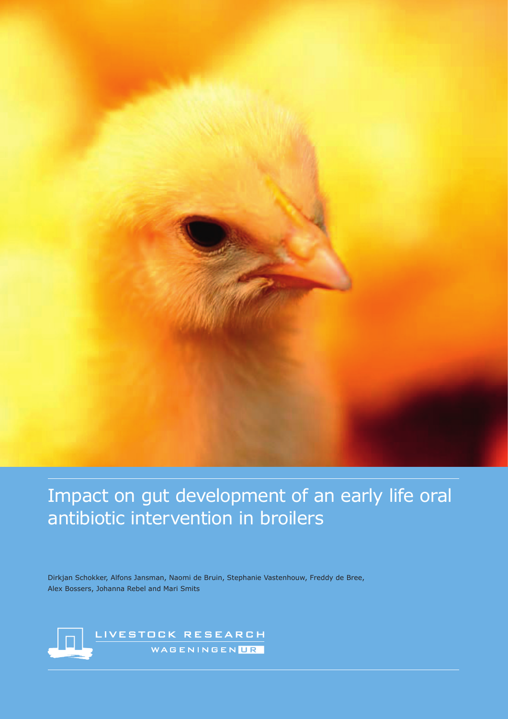

# Impact on gut development of an early life oral antibiotic intervention in broilers

Dirkjan Schokker, Alfons Jansman, Naomi de Bruin, Stephanie Vastenhouw, Freddy de Bree, Alex Bossers, Johanna Rebel and Mari Smits

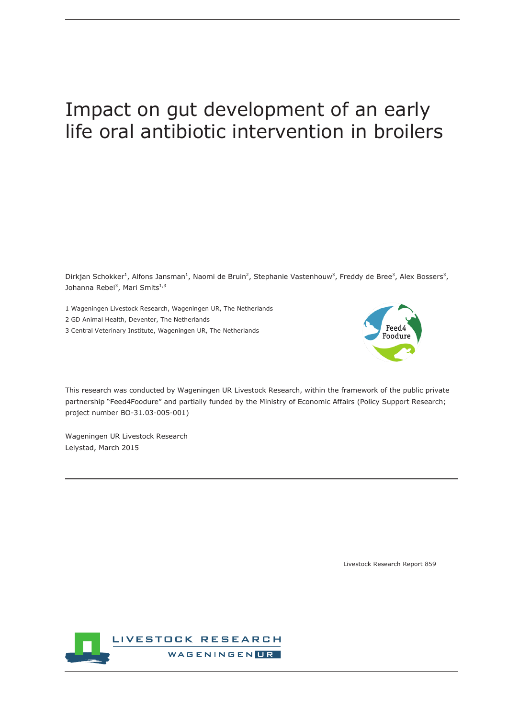# Impact on gut development of an early life oral antibiotic intervention in broilers

Dirkjan Schokker<sup>1</sup>, Alfons Jansman<sup>1</sup>, Naomi de Bruin<sup>2</sup>, Stephanie Vastenhouw<sup>3</sup>, Freddy de Bree<sup>3</sup>, Alex Bossers<sup>3</sup>, Johanna Rebel<sup>3</sup>, Mari Smits<sup>1,3</sup>

1 Wageningen Livestock Research, Wageningen UR, The Netherlands

2 GD Animal Health, Deventer, The Netherlands

3 Central Veterinary Institute, Wageningen UR, The Netherlands



This research was conducted by Wageningen UR Livestock Research, within the framework of the public private partnership "Feed4Foodure" and partially funded by the Ministry of Economic Affairs (Policy Support Research; project number BO-31.03-005-001)

Wageningen UR Livestock Research Lelystad, March 2015

Livestock Research Report 859

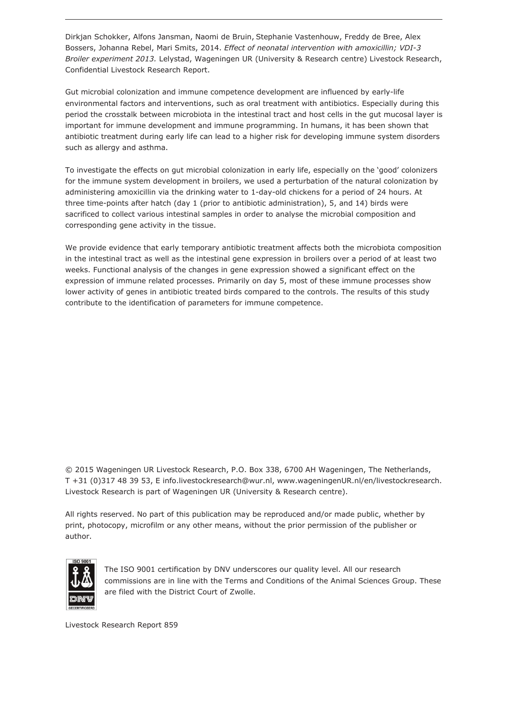Dirkjan Schokker, Alfons Jansman, Naomi de Bruin, Stephanie Vastenhouw, Freddy de Bree, Alex Bossers, Johanna Rebel, Mari Smits, 2014. *Effect of neonatal intervention with amoxicillin; VDI-3 Broiler experiment 2013.* Lelystad, Wageningen UR (University & Research centre) Livestock Research, Confidential Livestock Research Report.

Gut microbial colonization and immune competence development are influenced by early-life environmental factors and interventions, such as oral treatment with antibiotics. Especially during this period the crosstalk between microbiota in the intestinal tract and host cells in the gut mucosal layer is important for immune development and immune programming. In humans, it has been shown that antibiotic treatment during early life can lead to a higher risk for developing immune system disorders such as allergy and asthma.

To investigate the effects on gut microbial colonization in early life, especially on the 'good' colonizers for the immune system development in broilers, we used a perturbation of the natural colonization by administering amoxicillin via the drinking water to 1-day-old chickens for a period of 24 hours. At three time-points after hatch (day 1 (prior to antibiotic administration), 5, and 14) birds were sacrificed to collect various intestinal samples in order to analyse the microbial composition and corresponding gene activity in the tissue.

We provide evidence that early temporary antibiotic treatment affects both the microbiota composition in the intestinal tract as well as the intestinal gene expression in broilers over a period of at least two weeks. Functional analysis of the changes in gene expression showed a significant effect on the expression of immune related processes. Primarily on day 5, most of these immune processes show lower activity of genes in antibiotic treated birds compared to the controls. The results of this study contribute to the identification of parameters for immune competence.

© 2015 Wageningen UR Livestock Research, P.O. Box 338, 6700 AH Wageningen, The Netherlands, T +31 (0)317 48 39 53, E info.livestockresearch@wur.nl, www.wageningenUR.nl/en/livestockresearch. Livestock Research is part of Wageningen UR (University & Research centre).

All rights reserved. No part of this publication may be reproduced and/or made public, whether by print, photocopy, microfilm or any other means, without the prior permission of the publisher or author.



The ISO 9001 certification by DNV underscores our quality level. All our research commissions are in line with the Terms and Conditions of the Animal Sciences Group. These are filed with the District Court of Zwolle.

Livestock Research Report 859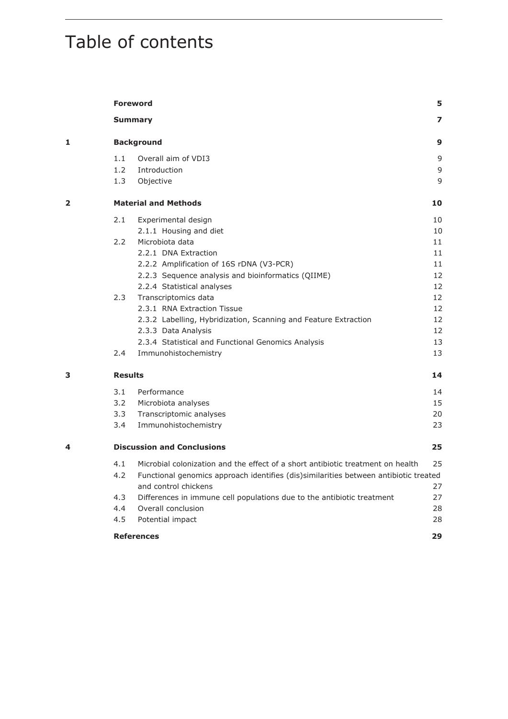# Table of contents

|   |                             | <b>Foreword</b>                                                                      | 5                        |  |  |  |  |
|---|-----------------------------|--------------------------------------------------------------------------------------|--------------------------|--|--|--|--|
|   |                             | <b>Summary</b>                                                                       | $\overline{\phantom{a}}$ |  |  |  |  |
| 1 | <b>Background</b>           |                                                                                      |                          |  |  |  |  |
|   | 1.1                         | Overall aim of VDI3                                                                  | 9                        |  |  |  |  |
|   | 1.2                         | Introduction                                                                         | 9                        |  |  |  |  |
|   | 1.3                         | Objective                                                                            | 9                        |  |  |  |  |
| 2 | <b>Material and Methods</b> |                                                                                      |                          |  |  |  |  |
|   | 2.1                         | Experimental design                                                                  | 10                       |  |  |  |  |
|   |                             | 2.1.1 Housing and diet                                                               | 10                       |  |  |  |  |
|   | 2.2                         | Microbiota data                                                                      | 11                       |  |  |  |  |
|   |                             | 2.2.1 DNA Extraction                                                                 | 11                       |  |  |  |  |
|   |                             | 2.2.2 Amplification of 16S rDNA (V3-PCR)                                             | 11                       |  |  |  |  |
|   |                             | 2.2.3 Sequence analysis and bioinformatics (QIIME)                                   | 12                       |  |  |  |  |
|   |                             | 2.2.4 Statistical analyses                                                           | 12                       |  |  |  |  |
|   | 2.3                         | Transcriptomics data                                                                 | 12                       |  |  |  |  |
|   |                             | 2.3.1 RNA Extraction Tissue                                                          | 12                       |  |  |  |  |
|   |                             | 2.3.2 Labelling, Hybridization, Scanning and Feature Extraction                      | 12                       |  |  |  |  |
|   |                             | 2.3.3 Data Analysis                                                                  | 12                       |  |  |  |  |
|   |                             | 2.3.4 Statistical and Functional Genomics Analysis                                   | 13                       |  |  |  |  |
|   | $2.4^{\circ}$               | Immunohistochemistry                                                                 | 13                       |  |  |  |  |
| 3 | <b>Results</b>              |                                                                                      | 14                       |  |  |  |  |
|   | 3.1                         | Performance                                                                          | 14                       |  |  |  |  |
|   | 3.2                         | Microbiota analyses                                                                  | 15                       |  |  |  |  |
|   | 3.3                         | Transcriptomic analyses                                                              | 20                       |  |  |  |  |
|   | 3.4                         | Immunohistochemistry                                                                 | 23                       |  |  |  |  |
| 4 |                             | <b>Discussion and Conclusions</b>                                                    | 25                       |  |  |  |  |
|   | 4.1                         | Microbial colonization and the effect of a short antibiotic treatment on health      | 25                       |  |  |  |  |
|   | 4.2                         | Functional genomics approach identifies (dis)similarities between antibiotic treated |                          |  |  |  |  |
|   |                             | and control chickens                                                                 | 27                       |  |  |  |  |
|   | 4.3                         | Differences in immune cell populations due to the antibiotic treatment               | 27                       |  |  |  |  |
|   | 4.4                         | Overall conclusion                                                                   | 28                       |  |  |  |  |
|   | 4.5                         | Potential impact                                                                     | 28                       |  |  |  |  |
|   | <b>References</b>           |                                                                                      |                          |  |  |  |  |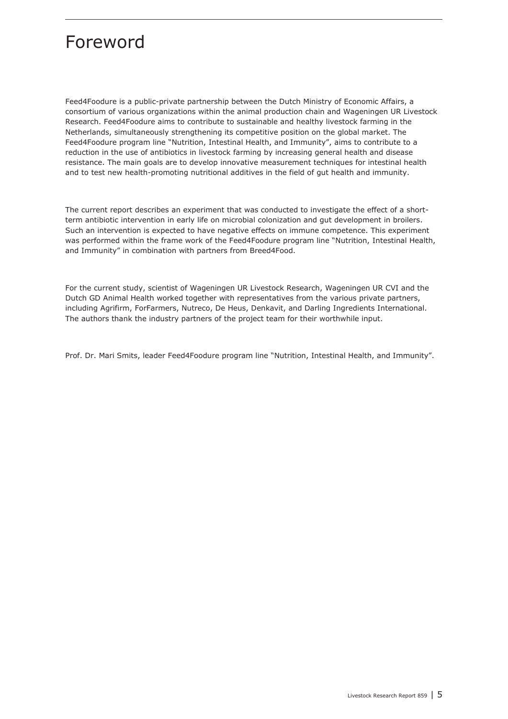## <span id="page-4-0"></span>Foreword

Feed4Foodure is a public-private partnership between the Dutch Ministry of Economic Affairs, a consortium of various organizations within the animal production chain and Wageningen UR Livestock Research. Feed4Foodure aims to contribute to sustainable and healthy livestock farming in the Netherlands, simultaneously strengthening its competitive position on the global market. The Feed4Foodure program line "Nutrition, Intestinal Health, and Immunity", aims to contribute to a reduction in the use of antibiotics in livestock farming by increasing general health and disease resistance. The main goals are to develop innovative measurement techniques for intestinal health and to test new health-promoting nutritional additives in the field of gut health and immunity.

The current report describes an experiment that was conducted to investigate the effect of a shortterm antibiotic intervention in early life on microbial colonization and gut development in broilers. Such an intervention is expected to have negative effects on immune competence. This experiment was performed within the frame work of the Feed4Foodure program line "Nutrition, Intestinal Health, and Immunity" in combination with partners from Breed4Food.

For the current study, scientist of Wageningen UR Livestock Research, Wageningen UR CVI and the Dutch GD Animal Health worked together with representatives from the various private partners, including Agrifirm, ForFarmers, Nutreco, De Heus, Denkavit, and Darling Ingredients International. The authors thank the industry partners of the project team for their worthwhile input.

Prof. Dr. Mari Smits, leader Feed4Foodure program line "Nutrition, Intestinal Health, and Immunity".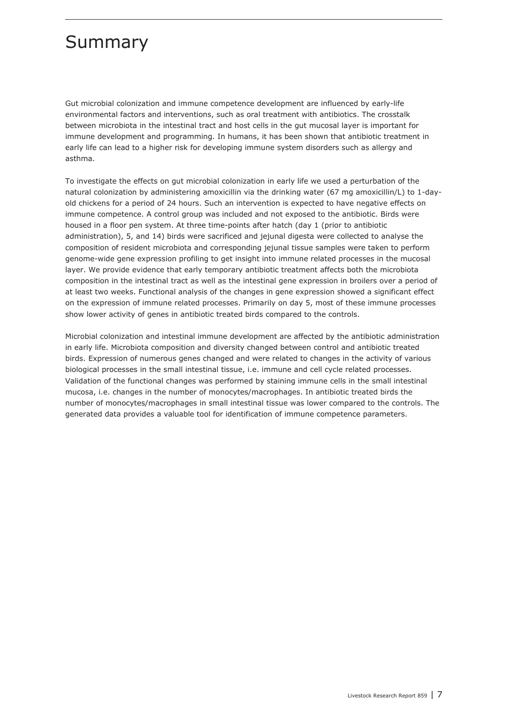## <span id="page-6-0"></span>Summary

Gut microbial colonization and immune competence development are influenced by early-life environmental factors and interventions, such as oral treatment with antibiotics. The crosstalk between microbiota in the intestinal tract and host cells in the gut mucosal layer is important for immune development and programming. In humans, it has been shown that antibiotic treatment in early life can lead to a higher risk for developing immune system disorders such as allergy and asthma.

To investigate the effects on gut microbial colonization in early life we used a perturbation of the natural colonization by administering amoxicillin via the drinking water (67 mg amoxicillin/L) to 1-dayold chickens for a period of 24 hours. Such an intervention is expected to have negative effects on immune competence. A control group was included and not exposed to the antibiotic. Birds were housed in a floor pen system. At three time-points after hatch (day 1 (prior to antibiotic administration), 5, and 14) birds were sacrificed and jejunal digesta were collected to analyse the composition of resident microbiota and corresponding jejunal tissue samples were taken to perform genome-wide gene expression profiling to get insight into immune related processes in the mucosal layer. We provide evidence that early temporary antibiotic treatment affects both the microbiota composition in the intestinal tract as well as the intestinal gene expression in broilers over a period of at least two weeks. Functional analysis of the changes in gene expression showed a significant effect on the expression of immune related processes. Primarily on day 5, most of these immune processes show lower activity of genes in antibiotic treated birds compared to the controls.

Microbial colonization and intestinal immune development are affected by the antibiotic administration in early life. Microbiota composition and diversity changed between control and antibiotic treated birds. Expression of numerous genes changed and were related to changes in the activity of various biological processes in the small intestinal tissue, i.e. immune and cell cycle related processes. Validation of the functional changes was performed by staining immune cells in the small intestinal mucosa, i.e. changes in the number of monocytes/macrophages. In antibiotic treated birds the number of monocytes/macrophages in small intestinal tissue was lower compared to the controls. The generated data provides a valuable tool for identification of immune competence parameters.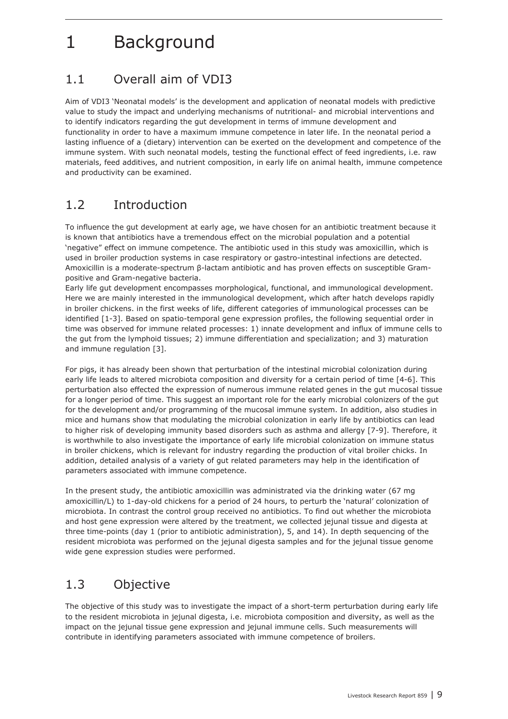## <span id="page-8-0"></span>1 Background

## 1.1 Overall aim of VDI3

Aim of VDI3 'Neonatal models' is the development and application of neonatal models with predictive value to study the impact and underlying mechanisms of nutritional- and microbial interventions and to identify indicators regarding the gut development in terms of immune development and functionality in order to have a maximum immune competence in later life. In the neonatal period a lasting influence of a (dietary) intervention can be exerted on the development and competence of the immune system. With such neonatal models, testing the functional effect of feed ingredients, i.e. raw materials, feed additives, and nutrient composition, in early life on animal health, immune competence and productivity can be examined.

## 1.2 Introduction

To influence the gut development at early age, we have chosen for an antibiotic treatment because it is known that antibiotics have a tremendous effect on the microbial population and a potential 'negative" effect on immune competence. The antibiotic used in this study was amoxicillin, which is used in broiler production systems in case respiratory or gastro-intestinal infections are detected. Amoxicillin is a moderate-spectrum β-lactam antibiotic and has proven effects on susceptible Grampositive and Gram-negative bacteria.

Early life gut development encompasses morphological, functional, and immunological development. Here we are mainly interested in the immunological development, which after hatch develops rapidly in broiler chickens. in the first weeks of life, different categories of immunological processes can be identified [1-3]. Based on spatio-temporal gene expression profiles, the following sequential order in time was observed for immune related processes: 1) innate development and influx of immune cells to the gut from the lymphoid tissues; 2) immune differentiation and specialization; and 3) maturation and immune regulation [3].

For pigs, it has already been shown that perturbation of the intestinal microbial colonization during early life leads to altered microbiota composition and diversity for a certain period of time [4-6]. This perturbation also effected the expression of numerous immune related genes in the gut mucosal tissue for a longer period of time. This suggest an important role for the early microbial colonizers of the gut for the development and/or programming of the mucosal immune system. In addition, also studies in mice and humans show that modulating the microbial colonization in early life by antibiotics can lead to higher risk of developing immunity based disorders such as asthma and allergy [7-9]. Therefore, it is worthwhile to also investigate the importance of early life microbial colonization on immune status in broiler chickens, which is relevant for industry regarding the production of vital broiler chicks. In addition, detailed analysis of a variety of gut related parameters may help in the identification of parameters associated with immune competence.

In the present study, the antibiotic amoxicillin was administrated via the drinking water (67 mg amoxicillin/L) to 1-day-old chickens for a period of 24 hours, to perturb the 'natural' colonization of microbiota. In contrast the control group received no antibiotics. To find out whether the microbiota and host gene expression were altered by the treatment, we collected jejunal tissue and digesta at three time-points (day 1 (prior to antibiotic administration), 5, and 14). In depth sequencing of the resident microbiota was performed on the jejunal digesta samples and for the jejunal tissue genome wide gene expression studies were performed.

## 1.3 Objective

The objective of this study was to investigate the impact of a short-term perturbation during early life to the resident microbiota in jejunal digesta, i.e. microbiota composition and diversity, as well as the impact on the jejunal tissue gene expression and jejunal immune cells. Such measurements will contribute in identifying parameters associated with immune competence of broilers.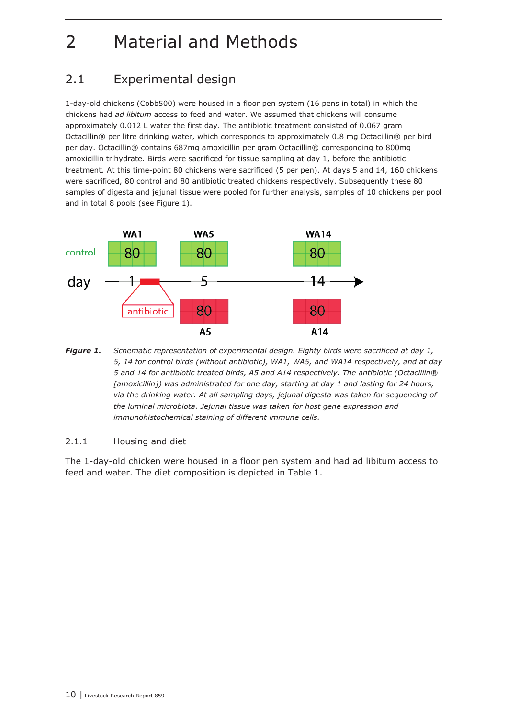# <span id="page-9-0"></span>2 Material and Methods

## 2.1 Experimental design

1-day-old chickens (Cobb500) were housed in a floor pen system (16 pens in total) in which the chickens had *ad libitum* access to feed and water. We assumed that chickens will consume approximately 0.012 L water the first day. The antibiotic treatment consisted of 0.067 gram Octacillin® per litre drinking water, which corresponds to approximately 0.8 mg Octacillin® per bird per day. Octacillin® contains 687mg amoxicillin per gram Octacillin® corresponding to 800mg amoxicillin trihydrate. Birds were sacrificed for tissue sampling at day 1, before the antibiotic treatment. At this time-point 80 chickens were sacrificed (5 per pen). At days 5 and 14, 160 chickens were sacrificed, 80 control and 80 antibiotic treated chickens respectively. Subsequently these 80 samples of digesta and jejunal tissue were pooled for further analysis, samples of 10 chickens per pool and in total 8 pools (see Figure 1).



*Figure 1. Schematic representation of experimental design. Eighty birds were sacrificed at day 1, 5, 14 for control birds (without antibiotic), WA1, WA5, and WA14 respectively, and at day 5 and 14 for antibiotic treated birds, A5 and A14 respectively. The antibiotic (Octacillin®*  [amoxicillin]) was administrated for one day, starting at day 1 and lasting for 24 hours, *via the drinking water. At all sampling days, jejunal digesta was taken for sequencing of the luminal microbiota. Jejunal tissue was taken for host gene expression and immunohistochemical staining of different immune cells.*

#### 2.1.1 Housing and diet

The 1-day-old chicken were housed in a floor pen system and had ad libitum access to feed and water. The diet composition is depicted in Table 1.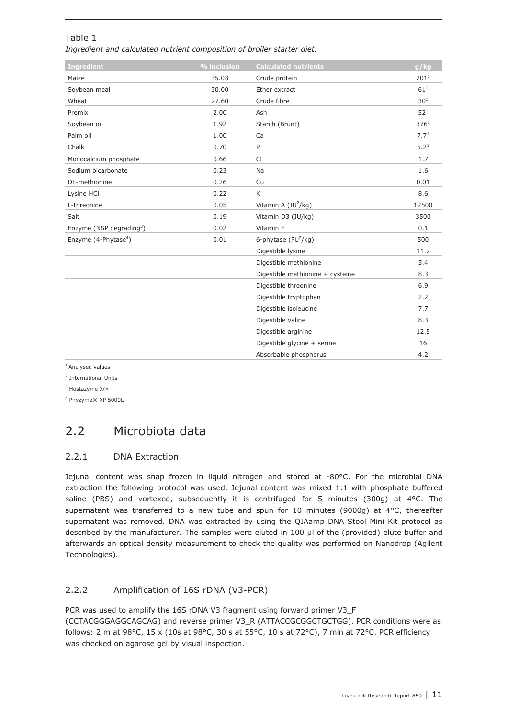### <span id="page-10-0"></span>Table 1

*Ingredient and calculated nutrient composition of broiler starter diet.*

| <b>Ingredient</b>                    | $%$ inclusion | <b>Calculated nutrients</b>      | g/kg             |
|--------------------------------------|---------------|----------------------------------|------------------|
| Maize                                | 35.03         | Crude protein                    | 201 <sup>1</sup> |
| Soybean meal                         | 30.00         | Ether extract                    | $61^{1}$         |
| Wheat                                | 27.60         | Crude fibre                      | 30 <sup>1</sup>  |
| Premix                               | 2.00          | Ash                              | 52 <sup>1</sup>  |
| Soybean oil                          | 1.92          | Starch (Brunt)                   | 376 <sup>1</sup> |
| Palm oil                             | 1.00          | Ca                               | 7.7 <sup>1</sup> |
| Chalk                                | 0.70          | P                                | $5.2^{1}$        |
| Monocalcium phosphate                | 0.66          | <b>CI</b>                        | 1.7              |
| Sodium bicarbonate                   | 0.23          | Na                               | 1.6              |
| DL-methionine                        | 0.26          | Cu                               | 0.01             |
| Lysine HCI                           | 0.22          | K                                | 8.6              |
| L-threonine                          | 0.05          | Vitamin A $(IV^2/kg)$            | 12500            |
| Salt                                 | 0.19          | Vitamin D3 (IU/kg)               | 3500             |
| Enzyme (NSP degrading <sup>3</sup> ) | 0.02          | Vitamin E                        | 0.1              |
| Enzyme $(4$ -Phytase <sup>4</sup> )  | 0.01          | 6-phytase ( $PU^2/kg$ )          | 500              |
|                                      |               | Digestible lysine                | 11.2             |
|                                      |               | Digestible methionine            | 5.4              |
|                                      |               | Digestible methionine + cysteine | 8.3              |
|                                      |               | Digestible threonine             | 6.9              |
|                                      |               | Digestible tryptophan            | 2.2              |
|                                      |               | Digestible isoleucine            | 7.7              |
|                                      |               | Digestible valine                | 8.3              |
|                                      |               | Digestible arginine              | 12.5             |
|                                      |               | Digestible glycine + serine      | 16               |
|                                      |               | Absorbable phosphorus            | 4.2              |

<sup>1</sup> Analysed values

<sup>2</sup> International Units

<sup>3</sup> Hostazyme X®

<sup>4</sup> Phyzyme® XP 5000L

## 2.2 Microbiota data

#### 2.2.1 DNA Extraction

Jejunal content was snap frozen in liquid nitrogen and stored at -80°C. For the microbial DNA extraction the following protocol was used. Jejunal content was mixed 1:1 with phosphate buffered saline (PBS) and vortexed, subsequently it is centrifuged for 5 minutes (300g) at 4°C. The supernatant was transferred to a new tube and spun for 10 minutes (9000g) at 4°C, thereafter supernatant was removed. DNA was extracted by using the QIAamp DNA Stool Mini Kit protocol as described by the manufacturer. The samples were eluted in 100 µl of the (provided) elute buffer and afterwards an optical density measurement to check the quality was performed on Nanodrop (Agilent Technologies).

### 2.2.2 Amplification of 16S rDNA (V3-PCR)

PCR was used to amplify the 16S rDNA V3 fragment using forward primer V3\_F

(CCTACGGGAGGCAGCAG) and reverse primer V3\_R (ATTACCGCGGCTGCTGG). PCR conditions were as follows: 2 m at 98°C, 15 x (10s at 98°C, 30 s at 55°C, 10 s at 72°C), 7 min at 72°C. PCR efficiency was checked on agarose gel by visual inspection.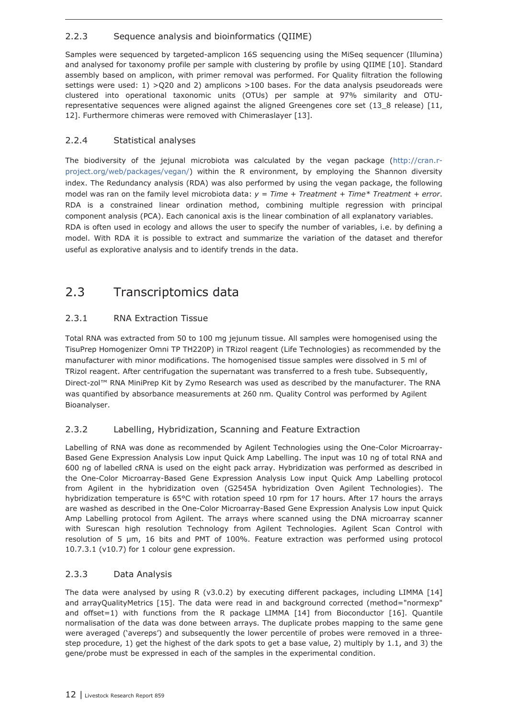### <span id="page-11-0"></span>2.2.3 Sequence analysis and bioinformatics (QIIME)

Samples were sequenced by targeted-amplicon 16S sequencing using the MiSeq sequencer (Illumina) and analysed for taxonomy profile per sample with clustering by profile by using QIIME [10]. Standard assembly based on amplicon, with primer removal was performed. For Quality filtration the following settings were used: 1) > Q20 and 2) amplicons > 100 bases. For the data analysis pseudoreads were clustered into operational taxonomic units (OTUs) per sample at 97% similarity and OTUrepresentative sequences were aligned against the aligned Greengenes core set (13\_8 release) [11, 12]. Furthermore chimeras were removed with Chimeraslayer [13].

### 2.2.4 Statistical analyses

The biodiversity of the jejunal microbiota was calculated by the vegan package (http://cran.rproject.org/web/packages/vegan/) within the R environment, by employing the Shannon diversity index. The Redundancy analysis (RDA) was also performed by using the vegan package, the following model was ran on the family level microbiota data: *y = Time + Treatment + Time\* Treatment + error*. RDA is a constrained linear ordination method, combining multiple regression with principal component analysis (PCA). Each canonical axis is the linear combination of all explanatory variables. RDA is often used in ecology and allows the user to specify the number of variables, i.e. by defining a model. With RDA it is possible to extract and summarize the variation of the dataset and therefor useful as explorative analysis and to identify trends in the data.

## 2.3 Transcriptomics data

### 2.3.1 RNA Extraction Tissue

Total RNA was extracted from 50 to 100 mg jejunum tissue. All samples were homogenised using the TisuPrep Homogenizer Omni TP TH220P) in TRizol reagent (Life Technologies) as recommended by the manufacturer with minor modifications. The homogenised tissue samples were dissolved in 5 ml of TRizol reagent. After centrifugation the supernatant was transferred to a fresh tube. Subsequently, Direct-zol™ RNA MiniPrep Kit by Zymo Research was used as described by the manufacturer. The RNA was quantified by absorbance measurements at 260 nm. Quality Control was performed by Agilent Bioanalyser.

### 2.3.2 Labelling, Hybridization, Scanning and Feature Extraction

Labelling of RNA was done as recommended by Agilent Technologies using the One-Color Microarray-Based Gene Expression Analysis Low input Quick Amp Labelling. The input was 10 ng of total RNA and 600 ng of labelled cRNA is used on the eight pack array. Hybridization was performed as described in the One-Color Microarray-Based Gene Expression Analysis Low input Quick Amp Labelling protocol from Agilent in the hybridization oven (G2545A hybridization Oven Agilent Technologies). The hybridization temperature is 65°C with rotation speed 10 rpm for 17 hours. After 17 hours the arrays are washed as described in the One-Color Microarray-Based Gene Expression Analysis Low input Quick Amp Labelling protocol from Agilent. The arrays where scanned using the DNA microarray scanner with Surescan high resolution Technology from Agilent Technologies. Agilent Scan Control with resolution of 5 µm, 16 bits and PMT of 100%. Feature extraction was performed using protocol 10.7.3.1 (v10.7) for 1 colour gene expression.

### 2.3.3 Data Analysis

The data were analysed by using R (v3.0.2) by executing different packages, including LIMMA [14] and arrayQualityMetrics [15]. The data were read in and background corrected (method="normexp" and offset=1) with functions from the R package LIMMA  $[14]$  from Bioconductor  $[16]$ . Quantile normalisation of the data was done between arrays. The duplicate probes mapping to the same gene were averaged ('avereps') and subsequently the lower percentile of probes were removed in a threestep procedure, 1) get the highest of the dark spots to get a base value, 2) multiply by 1.1, and 3) the gene/probe must be expressed in each of the samples in the experimental condition.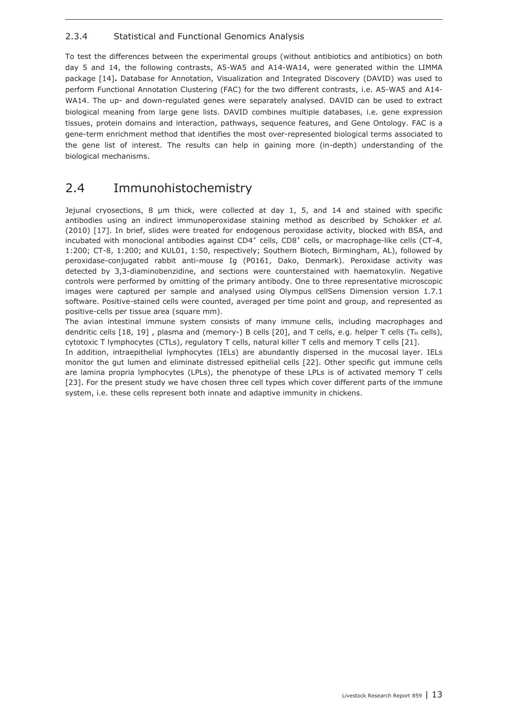#### <span id="page-12-0"></span>2.3.4 Statistical and Functional Genomics Analysis

To test the differences between the experimental groups (without antibiotics and antibiotics) on both day 5 and 14, the following contrasts, A5-WA5 and A14-WA14, were generated within the LIMMA package [14]**.** Database for Annotation, Visualization and Integrated Discovery (DAVID) was used to perform Functional Annotation Clustering (FAC) for the two different contrasts, i.e. A5-WA5 and A14- WA14. The up- and down-regulated genes were separately analysed. DAVID can be used to extract biological meaning from large gene lists. DAVID combines multiple databases, i.e. gene expression tissues, protein domains and interaction, pathways, sequence features, and Gene Ontology. FAC is a gene-term enrichment method that identifies the most over-represented biological terms associated to the gene list of interest. The results can help in gaining more (in-depth) understanding of the biological mechanisms.

## 2.4 Immunohistochemistry

Jejunal cryosections, 8 μm thick, were collected at day 1, 5, and 14 and stained with specific antibodies using an indirect immunoperoxidase staining method as described by Schokker *et al.* (2010) [17]. In brief, slides were treated for endogenous peroxidase activity, blocked with BSA, and incubated with monoclonal antibodies against  $CD4^+$  cells,  $CD8^+$  cells, or macrophage-like cells (CT-4, 1:200; CT-8, 1:200; and KUL01, 1:50, respectively; Southern Biotech, Birmingham, AL), followed by peroxidase-conjugated rabbit anti-mouse Ig (P0161, Dako, Denmark). Peroxidase activity was detected by 3,3-diaminobenzidine, and sections were counterstained with haematoxylin. Negative controls were performed by omitting of the primary antibody. One to three representative microscopic images were captured per sample and analysed using Olympus cellSens Dimension version 1.7.1 software. Positive-stained cells were counted, averaged per time point and group, and represented as positive-cells per tissue area (square mm).

The avian intestinal immune system consists of many immune cells, including macrophages and dendritic cells [18, 19], plasma and (memory-) B cells [20], and T cells, e.g. helper T cells (T<sub>H</sub> cells), cytotoxic T lymphocytes (CTLs), regulatory T cells, natural killer T cells and memory T cells [21].

In addition, intraepithelial lymphocytes (IELs) are abundantly dispersed in the mucosal layer. IELs monitor the gut lumen and eliminate distressed epithelial cells [22]. Other specific gut immune cells are lamina propria lymphocytes (LPLs), the phenotype of these LPLs is of activated memory T cells [23]. For the present study we have chosen three cell types which cover different parts of the immune system, i.e. these cells represent both innate and adaptive immunity in chickens.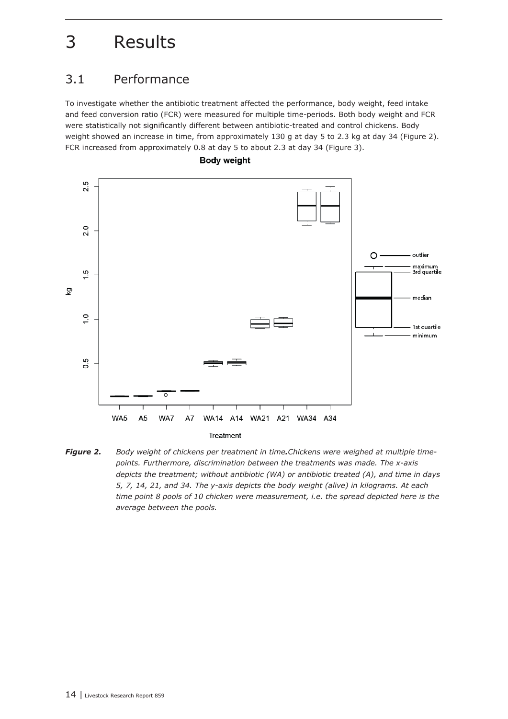# <span id="page-13-0"></span>3 Results

## 3.1 Performance

To investigate whether the antibiotic treatment affected the performance, body weight, feed intake and feed conversion ratio (FCR) were measured for multiple time-periods. Both body weight and FCR were statistically not significantly different between antibiotic-treated and control chickens. Body weight showed an increase in time, from approximately 130 g at day 5 to 2.3 kg at day 34 (Figure 2). FCR increased from approximately 0.8 at day 5 to about 2.3 at day 34 (Figure 3).





**Body weight**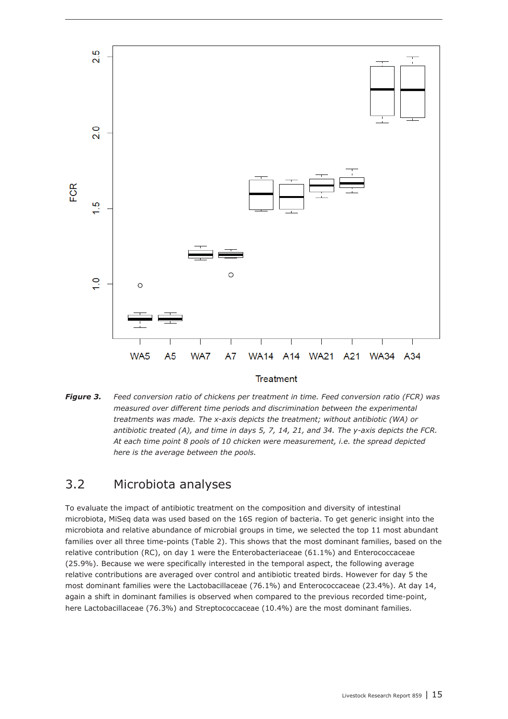<span id="page-14-0"></span>

#### Treatment

*Figure 3. Feed conversion ratio of chickens per treatment in time. Feed conversion ratio (FCR) was measured over different time periods and discrimination between the experimental treatments was made. The x-axis depicts the treatment; without antibiotic (WA) or antibiotic treated (A), and time in days 5, 7, 14, 21, and 34. The y-axis depicts the FCR. At each time point 8 pools of 10 chicken were measurement, i.e. the spread depicted here is the average between the pools.*

## 3.2 Microbiota analyses

To evaluate the impact of antibiotic treatment on the composition and diversity of intestinal microbiota, MiSeq data was used based on the 16S region of bacteria. To get generic insight into the microbiota and relative abundance of microbial groups in time, we selected the top 11 most abundant families over all three time-points (Table 2). This shows that the most dominant families, based on the relative contribution (RC), on day 1 were the Enterobacteriaceae (61.1%) and Enterococcaceae (25.9%). Because we were specifically interested in the temporal aspect, the following average relative contributions are averaged over control and antibiotic treated birds. However for day 5 the most dominant families were the Lactobacillaceae (76.1%) and Enterococcaceae (23.4%). At day 14, again a shift in dominant families is observed when compared to the previous recorded time-point, here Lactobacillaceae (76.3%) and Streptococcaceae (10.4%) are the most dominant families.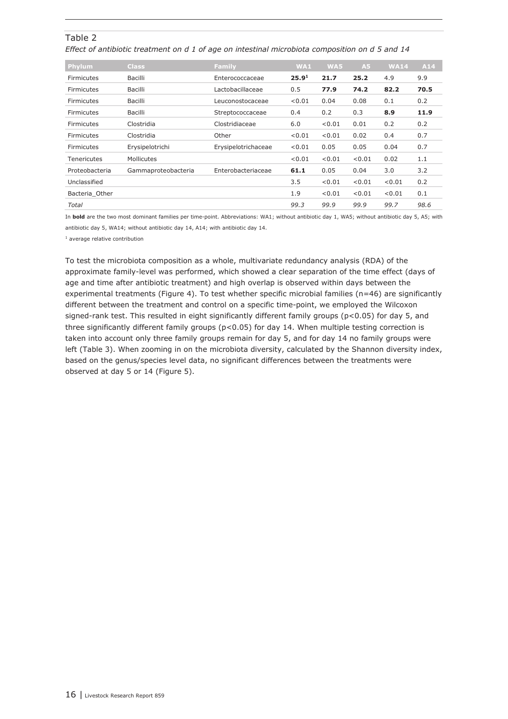#### Table 2

*Effect of antibiotic treatment on d 1 of age on intestinal microbiota composition on d 5 and 14*

| <b>Phylum</b>      | <b>Class</b>        | Family              | WA1               | WA5    | A5     | <b>WA14</b> | A14  |
|--------------------|---------------------|---------------------|-------------------|--------|--------|-------------|------|
| Firmicutes         | Bacilli             | Enterococcaceae     | 25.9 <sup>1</sup> | 21.7   | 25.2   | 4.9         | 9.9  |
| Firmicutes         | Bacilli             | Lactobacillaceae    | 0.5               | 77.9   | 74.2   | 82.2        | 70.5 |
| Firmicutes         | Bacilli             | Leuconostocaceae    | < 0.01            | 0.04   | 0.08   | 0.1         | 0.2  |
| Firmicutes         | Bacilli             | Streptococcaceae    | 0.4               | 0.2    | 0.3    | 8.9         | 11.9 |
| Firmicutes         | Clostridia          | Clostridiaceae      | 6.0               | < 0.01 | 0.01   | 0.2         | 0.2  |
| Firmicutes         | Clostridia          | Other               | < 0.01            | < 0.01 | 0.02   | 0.4         | 0.7  |
| Firmicutes         | Erysipelotrichi     | Erysipelotrichaceae | < 0.01            | 0.05   | 0.05   | 0.04        | 0.7  |
| <b>Tenericutes</b> | Mollicutes          |                     | < 0.01            | < 0.01 | < 0.01 | 0.02        | 1.1  |
| Proteobacteria     | Gammaproteobacteria | Enterobacteriaceae  | 61.1              | 0.05   | 0.04   | 3.0         | 3.2  |
| Unclassified       |                     |                     | 3.5               | < 0.01 | < 0.01 | < 0.01      | 0.2  |
| Bacteria_Other     |                     |                     | 1.9               | < 0.01 | < 0.01 | < 0.01      | 0.1  |
| Total              |                     |                     | 99.3              | 99.9   | 99.9   | 99.7        | 98.6 |

In **bold** are the two most dominant families per time-point. Abbreviations: WA1; without antibiotic day 1, WA5; without antibiotic day 5, A5; with antibiotic day 5, WA14; without antibiotic day 14, A14; with antibiotic day 14.

 $1$  average relative contribution

To test the microbiota composition as a whole, multivariate redundancy analysis (RDA) of the approximate family-level was performed, which showed a clear separation of the time effect (days of age and time after antibiotic treatment) and high overlap is observed within days between the experimental treatments (Figure 4). To test whether specific microbial families (n=46) are significantly different between the treatment and control on a specific time-point, we employed the Wilcoxon signed-rank test. This resulted in eight significantly different family groups (p<0.05) for day 5, and three significantly different family groups ( $p$ <0.05) for day 14. When multiple testing correction is taken into account only three family groups remain for day 5, and for day 14 no family groups were left (Table 3). When zooming in on the microbiota diversity, calculated by the Shannon diversity index, based on the genus/species level data, no significant differences between the treatments were observed at day 5 or 14 (Figure 5).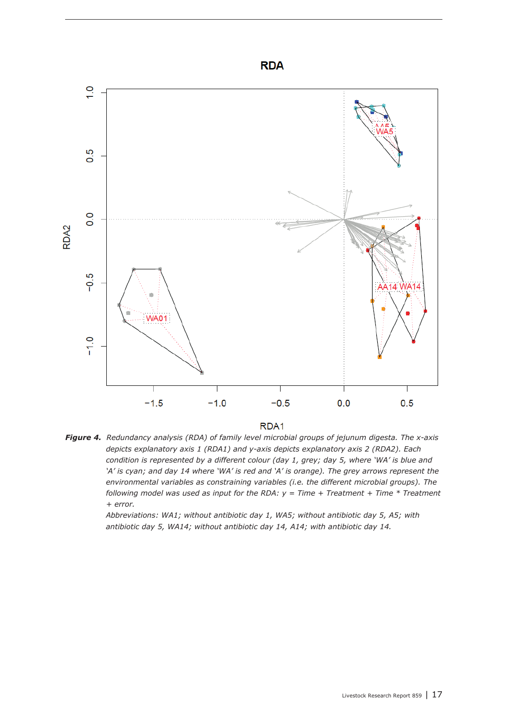



*Figure 4. Redundancy analysis (RDA) of family level microbial groups of jejunum digesta. The x-axis depicts explanatory axis 1 (RDA1) and y-axis depicts explanatory axis 2 (RDA2). Each condition is represented by a different colour (day 1, grey; day 5, where 'WA' is blue and 'A' is cyan; and day 14 where 'WA' is red and 'A' is orange). The grey arrows represent the environmental variables as constraining variables (i.e. the different microbial groups). The following model was used as input for the RDA:*  $y = Time + Treatment + Time * Treatment$ *+ error.*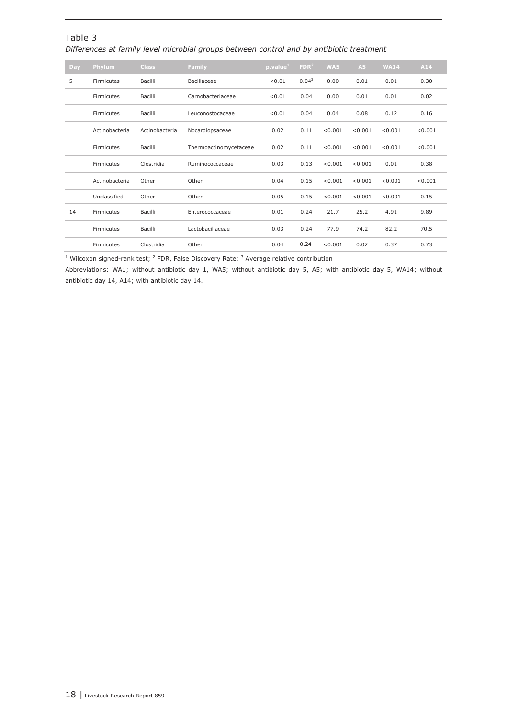#### Table 3

*Differences at family level microbial groups between control and by antibiotic treatment*

| Day | Phylum         | <b>Class</b>   | Family                 | p.value <sup>1</sup> | FDR <sup>2</sup>  | WA5     | A5      | <b>WA14</b> | A14     |
|-----|----------------|----------------|------------------------|----------------------|-------------------|---------|---------|-------------|---------|
| 5   | Firmicutes     | Bacilli        | Bacillaceae            | < 0.01               | 0.04 <sup>3</sup> | 0.00    | 0.01    | 0.01        | 0.30    |
|     | Firmicutes     | Bacilli        | Carnobacteriaceae      | < 0.01               | 0.04              | 0.00    | 0.01    | 0.01        | 0.02    |
|     | Firmicutes     | Bacilli        | Leuconostocaceae       | < 0.01               | 0.04              | 0.04    | 0.08    | 0.12        | 0.16    |
|     | Actinobacteria | Actinobacteria | Nocardiopsaceae        | 0.02                 | 0.11              | < 0.001 | < 0.001 | < 0.001     | < 0.001 |
|     | Firmicutes     | Bacilli        | Thermoactinomycetaceae | 0.02                 | 0.11              | < 0.001 | < 0.001 | < 0.001     | < 0.001 |
|     | Firmicutes     | Clostridia     | Ruminococcaceae        | 0.03                 | 0.13              | < 0.001 | < 0.001 | 0.01        | 0.38    |
|     | Actinobacteria | Other          | Other                  | 0.04                 | 0.15              | < 0.001 | < 0.001 | < 0.001     | < 0.001 |
|     | Unclassified   | Other          | Other                  | 0.05                 | 0.15              | < 0.001 | < 0.001 | < 0.001     | 0.15    |
| 14  | Firmicutes     | Bacilli        | Enterococcaceae        | 0.01                 | 0.24              | 21.7    | 25.2    | 4.91        | 9.89    |
|     | Firmicutes     | Bacilli        | Lactobacillaceae       | 0.03                 | 0.24              | 77.9    | 74.2    | 82.2        | 70.5    |
|     | Firmicutes     | Clostridia     | Other                  | 0.04                 | 0.24              | < 0.001 | 0.02    | 0.37        | 0.73    |

 $1$  Wilcoxon signed-rank test;  $2$  FDR, False Discovery Rate;  $3$  Average relative contribution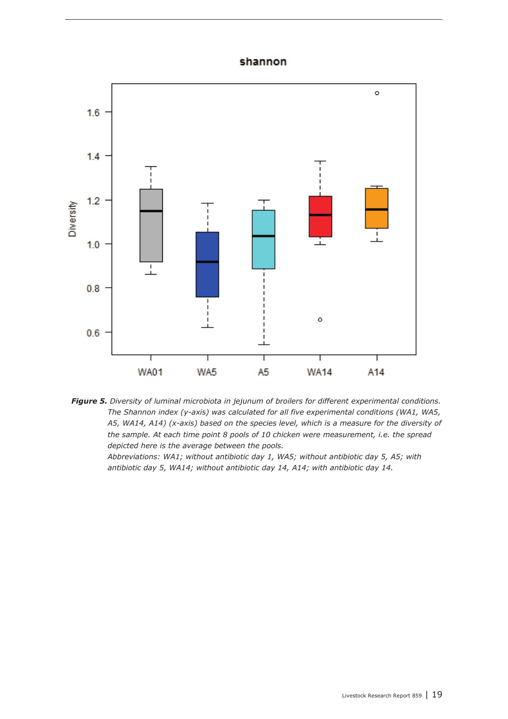### shannon



*Figure 5. Diversity of luminal microbiota in jejunum of broilers for different experimental conditions. The Shannon index (y-axis) was calculated for all five experimental conditions (WA1, WA5, A5, WA14, A14) (x-axis) based on the species level, which is a measure for the diversity of the sample. At each time point 8 pools of 10 chicken were measurement, i.e. the spread depicted here is the average between the pools.*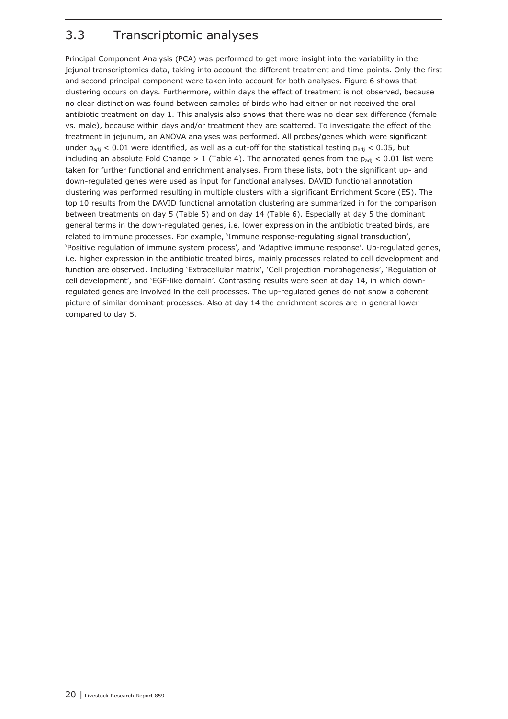## <span id="page-19-0"></span>3.3 Transcriptomic analyses

Principal Component Analysis (PCA) was performed to get more insight into the variability in the jejunal transcriptomics data, taking into account the different treatment and time-points. Only the first and second principal component were taken into account for both analyses. Figure 6 shows that clustering occurs on days. Furthermore, within days the effect of treatment is not observed, because no clear distinction was found between samples of birds who had either or not received the oral antibiotic treatment on day 1. This analysis also shows that there was no clear sex difference (female vs. male), because within days and/or treatment they are scattered. To investigate the effect of the treatment in jejunum, an ANOVA analyses was performed. All probes/genes which were significant under  $p_{adi}$  < 0.01 were identified, as well as a cut-off for the statistical testing  $p_{adi}$  < 0.05, but including an absolute Fold Change > 1 (Table 4). The annotated genes from the  $p_{adj}$  < 0.01 list were taken for further functional and enrichment analyses. From these lists, both the significant up- and down-regulated genes were used as input for functional analyses. DAVID functional annotation clustering was performed resulting in multiple clusters with a significant Enrichment Score (ES). The top 10 results from the DAVID functional annotation clustering are summarized in for the comparison between treatments on day 5 (Table 5) and on day 14 (Table 6). Especially at day 5 the dominant general terms in the down-regulated genes, i.e. lower expression in the antibiotic treated birds, are related to immune processes. For example, 'Immune response-regulating signal transduction', 'Positive regulation of immune system process', and 'Adaptive immune response'. Up-regulated genes, i.e. higher expression in the antibiotic treated birds, mainly processes related to cell development and function are observed. Including 'Extracellular matrix', 'Cell projection morphogenesis', 'Regulation of cell development', and 'EGF-like domain'. Contrasting results were seen at day 14, in which downregulated genes are involved in the cell processes. The up-regulated genes do not show a coherent picture of similar dominant processes. Also at day 14 the enrichment scores are in general lower compared to day 5.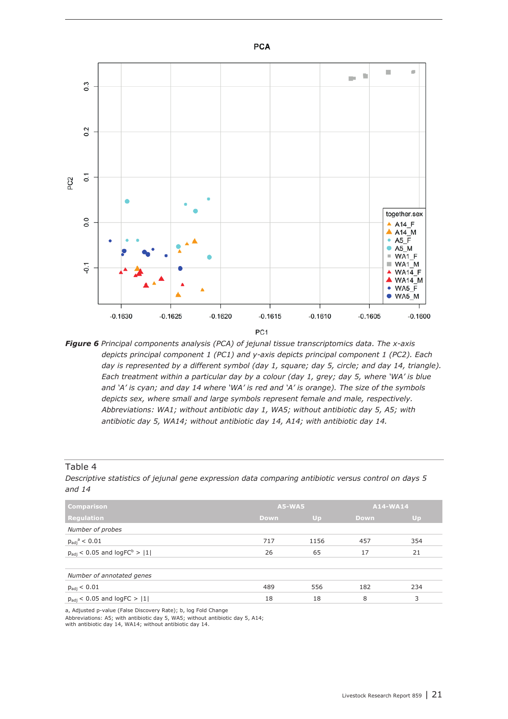

*Figure 6 Principal components analysis (PCA) of jejunal tissue transcriptomics data. The x-axis depicts principal component 1 (PC1) and y-axis depicts principal component 1 (PC2). Each day is represented by a different symbol (day 1, square; day 5, circle; and day 14, triangle). Each treatment within a particular day by a colour (day 1, grey; day 5, where 'WA' is blue and 'A' is cyan; and day 14 where 'WA' is red and 'A' is orange). The size of the symbols depicts sex, where small and large symbols represent female and male, respectively. Abbreviations: WA1; without antibiotic day 1, WA5; without antibiotic day 5, A5; with antibiotic day 5, WA14; without antibiotic day 14, A14; with antibiotic day 14.*

#### Table 4

*Descriptive statistics of jejunal gene expression data comparing antibiotic versus control on days 5 and 14*

| <b>Comparison</b>                                 | <b>A5-WA5</b> |      | A14-WA14    |     |
|---------------------------------------------------|---------------|------|-------------|-----|
| <b>Regulation</b>                                 | <b>Down</b>   | Up   | <b>Down</b> | Up  |
| Number of probes                                  |               |      |             |     |
| $p_{\text{adj}}^{\text{a}} < 0.01$                | 717           | 1156 | 457         | 354 |
| $p_{\text{adj}}$ < 0.05 and $\text{logFC}^b$ >  1 | 26            | 65   | 17          | 21  |
|                                                   |               |      |             |     |
| Number of annotated genes                         |               |      |             |     |
| $p_{\text{adj}} < 0.01$                           | 489           | 556  | 182         | 234 |
| $p_{\text{adj}}$ < 0.05 and logFC >  1            | 18            | 18   | 8           | 3   |
|                                                   |               |      |             |     |

a, Adjusted p-value (False Discovery Rate); b, log Fold Change

Abbreviations: A5; with antibiotic day 5, WA5; without antibiotic day 5, A14;

with antibiotic day 14, WA14; without antibiotic day 14.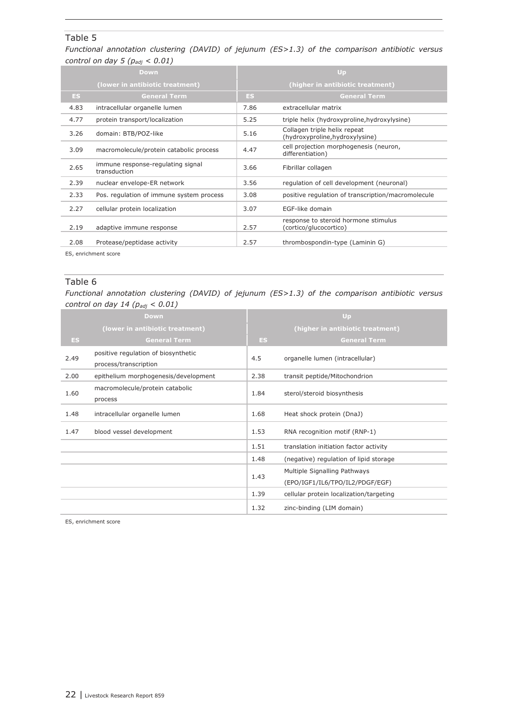#### Table 5

*Functional annotation clustering (DAVID) of jejunum (ES>1.3) of the comparison antibiotic versus control on day 5 (padj < 0.01)*

|      | Down                                              | Up                               |                                                                 |  |  |
|------|---------------------------------------------------|----------------------------------|-----------------------------------------------------------------|--|--|
|      | (lower in antibiotic treatment)                   | (higher in antibiotic treatment) |                                                                 |  |  |
| ES.  | <b>General Term</b>                               | ES.                              | <b>General Term</b>                                             |  |  |
| 4.83 | intracellular organelle lumen                     | 7.86                             | extracellular matrix                                            |  |  |
| 4.77 | protein transport/localization                    | 5.25                             | triple helix (hydroxyproline, hydroxylysine)                    |  |  |
| 3.26 | domain: BTB/POZ-like                              | 5.16                             | Collagen triple helix repeat<br>(hydroxyproline, hydroxylysine) |  |  |
| 3.09 | macromolecule/protein catabolic process           | 4.47                             | cell projection morphogenesis (neuron,<br>differentiation)      |  |  |
| 2.65 | immune response-regulating signal<br>transduction | 3.66                             | Fibrillar collagen                                              |  |  |
| 2.39 | nuclear envelope-ER network                       | 3.56                             | regulation of cell development (neuronal)                       |  |  |
| 2.33 | Pos. regulation of immune system process          | 3.08                             | positive regulation of transcription/macromolecule              |  |  |
| 2.27 | cellular protein localization                     | 3.07                             | EGF-like domain                                                 |  |  |
| 2.19 | adaptive immune response                          | 2.57                             | response to steroid hormone stimulus<br>(cortico/glucocortico)  |  |  |
| 2.08 | Protease/peptidase activity                       | 2.57                             | thrombospondin-type (Laminin G)                                 |  |  |

ES, enrichment score

#### Table 6

*Functional annotation clustering (DAVID) of jejunum (ES>1.3) of the comparison antibiotic versus control on day 14 (padj < 0.01)*

| Down |                                                              |      | Up                                                              |  |  |  |
|------|--------------------------------------------------------------|------|-----------------------------------------------------------------|--|--|--|
|      | (lower in antibiotic treatment)                              |      | (higher in antibiotic treatment)                                |  |  |  |
| ES.  | <b>General Term</b>                                          | ES   | <b>General Term</b>                                             |  |  |  |
| 2.49 | positive regulation of biosynthetic<br>process/transcription | 4.5  | organelle lumen (intracellular)                                 |  |  |  |
| 2.00 | epithelium morphogenesis/development                         | 2.38 | transit peptide/Mitochondrion                                   |  |  |  |
| 1.60 | macromolecule/protein catabolic<br>process                   | 1.84 | sterol/steroid biosynthesis                                     |  |  |  |
| 1.48 | intracellular organelle lumen                                | 1.68 | Heat shock protein (DnaJ)                                       |  |  |  |
| 1.47 | blood vessel development                                     | 1.53 | RNA recognition motif (RNP-1)                                   |  |  |  |
|      |                                                              | 1.51 | translation initiation factor activity                          |  |  |  |
|      |                                                              | 1.48 | (negative) regulation of lipid storage                          |  |  |  |
|      |                                                              | 1.43 | Multiple Signalling Pathways<br>(EPO/IGF1/IL6/TPO/IL2/PDGF/EGF) |  |  |  |
|      |                                                              | 1.39 | cellular protein localization/targeting                         |  |  |  |
|      |                                                              | 1.32 | zinc-binding (LIM domain)                                       |  |  |  |

ES, enrichment score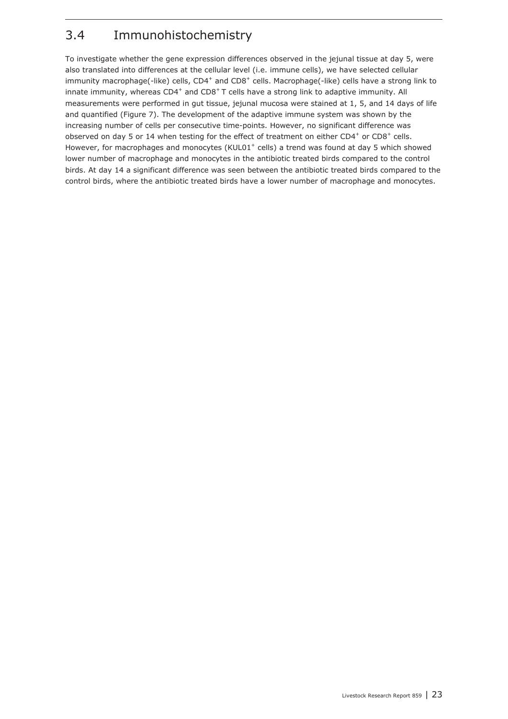## <span id="page-22-0"></span>3.4 Immunohistochemistry

To investigate whether the gene expression differences observed in the jejunal tissue at day 5, were also translated into differences at the cellular level (i.e. immune cells), we have selected cellular immunity macrophage(-like) cells,  $CD4^+$  and  $CD8^+$  cells. Macrophage(-like) cells have a strong link to innate immunity, whereas  $CD4^+$  and  $CD8^+$  T cells have a strong link to adaptive immunity. All measurements were performed in gut tissue, jejunal mucosa were stained at 1, 5, and 14 days of life and quantified (Figure 7). The development of the adaptive immune system was shown by the increasing number of cells per consecutive time-points. However, no significant difference was observed on day 5 or 14 when testing for the effect of treatment on either  $CD4^+$  or  $CD8^+$  cells. However, for macrophages and monocytes (KUL01<sup>+</sup> cells) a trend was found at day 5 which showed lower number of macrophage and monocytes in the antibiotic treated birds compared to the control birds. At day 14 a significant difference was seen between the antibiotic treated birds compared to the control birds, where the antibiotic treated birds have a lower number of macrophage and monocytes.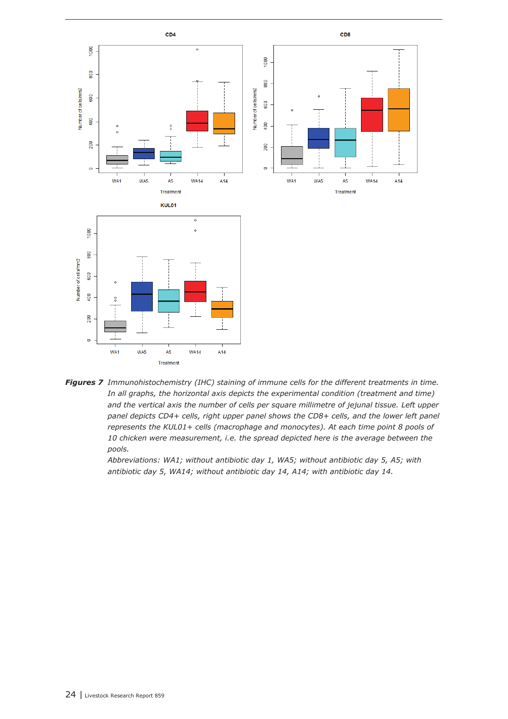

*Figures 7 Immunohistochemistry (IHC) staining of immune cells for the different treatments in time. In all graphs, the horizontal axis depicts the experimental condition (treatment and time) and the vertical axis the number of cells per square millimetre of jejunal tissue. Left upper*  panel depicts CD4+ cells, right upper panel shows the CD8+ cells, and the lower left panel *represents the KUL01+ cells (macrophage and monocytes). At each time point 8 pools of 10 chicken were measurement, i.e. the spread depicted here is the average between the pools.*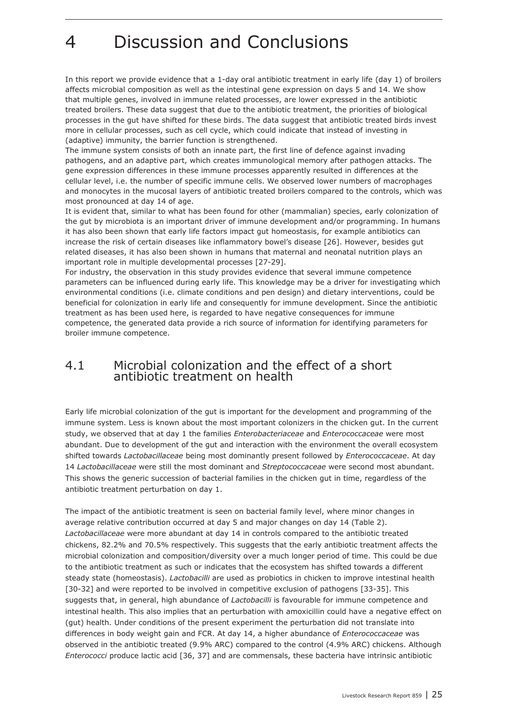## <span id="page-24-0"></span>4 Discussion and Conclusions

In this report we provide evidence that a 1-day oral antibiotic treatment in early life (day 1) of broilers affects microbial composition as well as the intestinal gene expression on days 5 and 14. We show that multiple genes, involved in immune related processes, are lower expressed in the antibiotic treated broilers. These data suggest that due to the antibiotic treatment, the priorities of biological processes in the gut have shifted for these birds. The data suggest that antibiotic treated birds invest more in cellular processes, such as cell cycle, which could indicate that instead of investing in (adaptive) immunity, the barrier function is strengthened.

The immune system consists of both an innate part, the first line of defence against invading pathogens, and an adaptive part, which creates immunological memory after pathogen attacks. The gene expression differences in these immune processes apparently resulted in differences at the cellular level, i.e. the number of specific immune cells. We observed lower numbers of macrophages and monocytes in the mucosal layers of antibiotic treated broilers compared to the controls, which was most pronounced at day 14 of age.

It is evident that, similar to what has been found for other (mammalian) species, early colonization of the gut by microbiota is an important driver of immune development and/or programming. In humans it has also been shown that early life factors impact gut homeostasis, for example antibiotics can increase the risk of certain diseases like inflammatory bowel's disease [26]. However, besides gut related diseases, it has also been shown in humans that maternal and neonatal nutrition plays an important role in multiple developmental processes [27-29].

For industry, the observation in this study provides evidence that several immune competence parameters can be influenced during early life. This knowledge may be a driver for investigating which environmental conditions (i.e. climate conditions and pen design) and dietary interventions, could be beneficial for colonization in early life and consequently for immune development. Since the antibiotic treatment as has been used here, is regarded to have negative consequences for immune competence, the generated data provide a rich source of information for identifying parameters for broiler immune competence.

### 4.1 Microbial colonization and the effect of a short antibiotic treatment on health

Early life microbial colonization of the gut is important for the development and programming of the immune system. Less is known about the most important colonizers in the chicken gut. In the current study, we observed that at day 1 the families *Enterobacteriaceae* and *Enterococcaceae* were most abundant. Due to development of the gut and interaction with the environment the overall ecosystem shifted towards *Lactobacillaceae* being most dominantly present followed by *Enterococcaceae*. At day 14 *Lactobacillaceae* were still the most dominant and *Streptococcaceae* were second most abundant. This shows the generic succession of bacterial families in the chicken gut in time, regardless of the antibiotic treatment perturbation on day 1.

The impact of the antibiotic treatment is seen on bacterial family level, where minor changes in average relative contribution occurred at day 5 and major changes on day 14 (Table 2). *Lactobacillaceae* were more abundant at day 14 in controls compared to the antibiotic treated chickens, 82.2% and 70.5% respectively. This suggests that the early antibiotic treatment affects the microbial colonization and composition/diversity over a much longer period of time. This could be due to the antibiotic treatment as such or indicates that the ecosystem has shifted towards a different steady state (homeostasis). *Lactobacilli* are used as probiotics in chicken to improve intestinal health [30-32] and were reported to be involved in competitive exclusion of pathogens [33-35]. This suggests that, in general, high abundance of *Lactobacilli* is favourable for immune competence and intestinal health. This also implies that an perturbation with amoxicillin could have a negative effect on (gut) health. Under conditions of the present experiment the perturbation did not translate into differences in body weight gain and FCR. At day 14, a higher abundance of *Enterococcaceae* was observed in the antibiotic treated (9.9% ARC) compared to the control (4.9% ARC) chickens. Although *Enterococci* produce lactic acid [36, 37] and are commensals, these bacteria have intrinsic antibiotic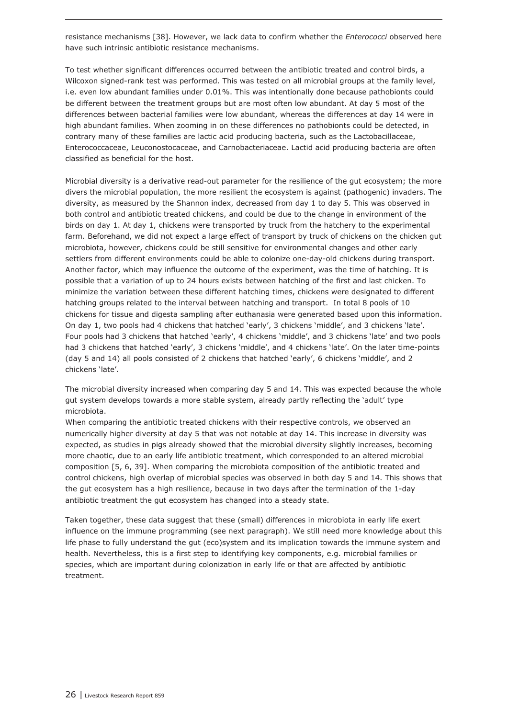resistance mechanisms [38]. However, we lack data to confirm whether the *Enterococci* observed here have such intrinsic antibiotic resistance mechanisms.

To test whether significant differences occurred between the antibiotic treated and control birds, a Wilcoxon signed-rank test was performed. This was tested on all microbial groups at the family level, i.e. even low abundant families under 0.01%. This was intentionally done because pathobionts could be different between the treatment groups but are most often low abundant. At day 5 most of the differences between bacterial families were low abundant, whereas the differences at day 14 were in high abundant families. When zooming in on these differences no pathobionts could be detected, in contrary many of these families are lactic acid producing bacteria, such as the Lactobacillaceae, Enterococcaceae, Leuconostocaceae, and Carnobacteriaceae. Lactid acid producing bacteria are often classified as beneficial for the host.

Microbial diversity is a derivative read-out parameter for the resilience of the gut ecosystem; the more divers the microbial population, the more resilient the ecosystem is against (pathogenic) invaders. The diversity, as measured by the Shannon index, decreased from day 1 to day 5. This was observed in both control and antibiotic treated chickens, and could be due to the change in environment of the birds on day 1. At day 1, chickens were transported by truck from the hatchery to the experimental farm. Beforehand, we did not expect a large effect of transport by truck of chickens on the chicken gut microbiota, however, chickens could be still sensitive for environmental changes and other early settlers from different environments could be able to colonize one-day-old chickens during transport. Another factor, which may influence the outcome of the experiment, was the time of hatching. It is possible that a variation of up to 24 hours exists between hatching of the first and last chicken. To minimize the variation between these different hatching times, chickens were designated to different hatching groups related to the interval between hatching and transport. In total 8 pools of 10 chickens for tissue and digesta sampling after euthanasia were generated based upon this information. On day 1, two pools had 4 chickens that hatched 'early', 3 chickens 'middle', and 3 chickens 'late'. Four pools had 3 chickens that hatched 'early', 4 chickens 'middle', and 3 chickens 'late' and two pools had 3 chickens that hatched 'early', 3 chickens 'middle', and 4 chickens 'late'. On the later time-points (day 5 and 14) all pools consisted of 2 chickens that hatched 'early', 6 chickens 'middle', and 2 chickens 'late'.

The microbial diversity increased when comparing day 5 and 14. This was expected because the whole gut system develops towards a more stable system, already partly reflecting the 'adult' type microbiota.

When comparing the antibiotic treated chickens with their respective controls, we observed an numerically higher diversity at day 5 that was not notable at day 14. This increase in diversity was expected, as studies in pigs already showed that the microbial diversity slightly increases, becoming more chaotic, due to an early life antibiotic treatment, which corresponded to an altered microbial composition [5, 6, 39]. When comparing the microbiota composition of the antibiotic treated and control chickens, high overlap of microbial species was observed in both day 5 and 14. This shows that the gut ecosystem has a high resilience, because in two days after the termination of the 1-day antibiotic treatment the gut ecosystem has changed into a steady state.

Taken together, these data suggest that these (small) differences in microbiota in early life exert influence on the immune programming (see next paragraph). We still need more knowledge about this life phase to fully understand the gut (eco)system and its implication towards the immune system and health. Nevertheless, this is a first step to identifying key components, e.g. microbial families or species, which are important during colonization in early life or that are affected by antibiotic treatment.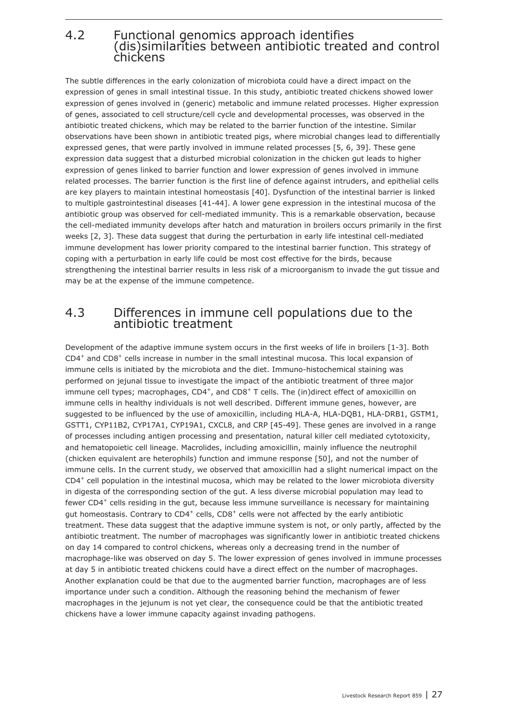## <span id="page-26-0"></span>4.2 Functional genomics approach identifies (dis)similarities between antibiotic treated and control chickens

The subtle differences in the early colonization of microbiota could have a direct impact on the expression of genes in small intestinal tissue. In this study, antibiotic treated chickens showed lower expression of genes involved in (generic) metabolic and immune related processes. Higher expression of genes, associated to cell structure/cell cycle and developmental processes, was observed in the antibiotic treated chickens, which may be related to the barrier function of the intestine. Similar observations have been shown in antibiotic treated pigs, where microbial changes lead to differentially expressed genes, that were partly involved in immune related processes [5, 6, 39]. These gene expression data suggest that a disturbed microbial colonization in the chicken gut leads to higher expression of genes linked to barrier function and lower expression of genes involved in immune related processes. The barrier function is the first line of defence against intruders, and epithelial cells are key players to maintain intestinal homeostasis [40]. Dysfunction of the intestinal barrier is linked to multiple gastrointestinal diseases [41-44]. A lower gene expression in the intestinal mucosa of the antibiotic group was observed for cell-mediated immunity. This is a remarkable observation, because the cell-mediated immunity develops after hatch and maturation in broilers occurs primarily in the first weeks [2, 3]. These data suggest that during the perturbation in early life intestinal cell-mediated immune development has lower priority compared to the intestinal barrier function. This strategy of coping with a perturbation in early life could be most cost effective for the birds, because strengthening the intestinal barrier results in less risk of a microorganism to invade the gut tissue and may be at the expense of the immune competence.

## 4.3 Differences in immune cell populations due to the antibiotic treatment

Development of the adaptive immune system occurs in the first weeks of life in broilers [1-3]. Both CD4+ and CD8+ cells increase in number in the small intestinal mucosa. This local expansion of immune cells is initiated by the microbiota and the diet. Immuno-histochemical staining was performed on jejunal tissue to investigate the impact of the antibiotic treatment of three major immune cell types; macrophages,  $CD4^+$ , and  $CD8^+$  T cells. The (in)direct effect of amoxicillin on immune cells in healthy individuals is not well described. Different immune genes, however, are suggested to be influenced by the use of amoxicillin, including HLA-A, HLA-DQB1, HLA-DRB1, GSTM1, GSTT1, CYP11B2, CYP17A1, CYP19A1, CXCL8, and CRP [45-49]. These genes are involved in a range of processes including antigen processing and presentation, natural killer cell mediated cytotoxicity, and hematopoietic cell lineage. Macrolides, including amoxicillin, mainly influence the neutrophil (chicken equivalent are heterophils) function and immune response [50], and not the number of immune cells. In the current study, we observed that amoxicillin had a slight numerical impact on the CD4+ cell population in the intestinal mucosa, which may be related to the lower microbiota diversity in digesta of the corresponding section of the gut. A less diverse microbial population may lead to fewer CD4<sup>+</sup> cells residing in the gut, because less immune surveillance is necessary for maintaining gut homeostasis. Contrary to  $CD4^+$  cells,  $CD8^+$  cells were not affected by the early antibiotic treatment. These data suggest that the adaptive immune system is not, or only partly, affected by the antibiotic treatment. The number of macrophages was significantly lower in antibiotic treated chickens on day 14 compared to control chickens, whereas only a decreasing trend in the number of macrophage-like was observed on day 5. The lower expression of genes involved in immune processes at day 5 in antibiotic treated chickens could have a direct effect on the number of macrophages. Another explanation could be that due to the augmented barrier function, macrophages are of less importance under such a condition. Although the reasoning behind the mechanism of fewer macrophages in the jejunum is not yet clear, the consequence could be that the antibiotic treated chickens have a lower immune capacity against invading pathogens.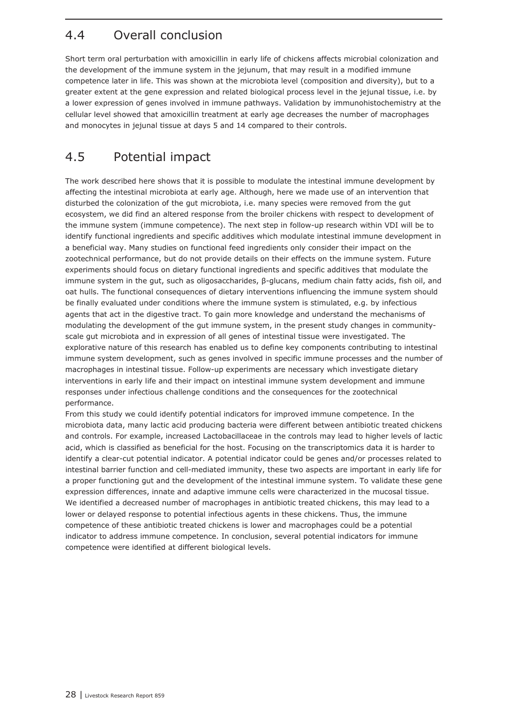## <span id="page-27-0"></span>4.4 Overall conclusion

Short term oral perturbation with amoxicillin in early life of chickens affects microbial colonization and the development of the immune system in the jejunum, that may result in a modified immune competence later in life. This was shown at the microbiota level (composition and diversity), but to a greater extent at the gene expression and related biological process level in the jejunal tissue, i.e. by a lower expression of genes involved in immune pathways. Validation by immunohistochemistry at the cellular level showed that amoxicillin treatment at early age decreases the number of macrophages and monocytes in jejunal tissue at days 5 and 14 compared to their controls.

## 4.5 Potential impact

The work described here shows that it is possible to modulate the intestinal immune development by affecting the intestinal microbiota at early age. Although, here we made use of an intervention that disturbed the colonization of the gut microbiota, i.e. many species were removed from the gut ecosystem, we did find an altered response from the broiler chickens with respect to development of the immune system (immune competence). The next step in follow-up research within VDI will be to identify functional ingredients and specific additives which modulate intestinal immune development in a beneficial way. Many studies on functional feed ingredients only consider their impact on the zootechnical performance, but do not provide details on their effects on the immune system. Future experiments should focus on dietary functional ingredients and specific additives that modulate the immune system in the gut, such as oligosaccharides, β-glucans, medium chain fatty acids, fish oil, and oat hulls. The functional consequences of dietary interventions influencing the immune system should be finally evaluated under conditions where the immune system is stimulated, e.g. by infectious agents that act in the digestive tract. To gain more knowledge and understand the mechanisms of modulating the development of the gut immune system, in the present study changes in communityscale gut microbiota and in expression of all genes of intestinal tissue were investigated. The explorative nature of this research has enabled us to define key components contributing to intestinal immune system development, such as genes involved in specific immune processes and the number of macrophages in intestinal tissue. Follow-up experiments are necessary which investigate dietary interventions in early life and their impact on intestinal immune system development and immune responses under infectious challenge conditions and the consequences for the zootechnical performance.

From this study we could identify potential indicators for improved immune competence. In the microbiota data, many lactic acid producing bacteria were different between antibiotic treated chickens and controls. For example, increased Lactobacillaceae in the controls may lead to higher levels of lactic acid, which is classified as beneficial for the host. Focusing on the transcriptomics data it is harder to identify a clear-cut potential indicator. A potential indicator could be genes and/or processes related to intestinal barrier function and cell-mediated immunity, these two aspects are important in early life for a proper functioning gut and the development of the intestinal immune system. To validate these gene expression differences, innate and adaptive immune cells were characterized in the mucosal tissue. We identified a decreased number of macrophages in antibiotic treated chickens, this may lead to a lower or delayed response to potential infectious agents in these chickens. Thus, the immune competence of these antibiotic treated chickens is lower and macrophages could be a potential indicator to address immune competence. In conclusion, several potential indicators for immune competence were identified at different biological levels.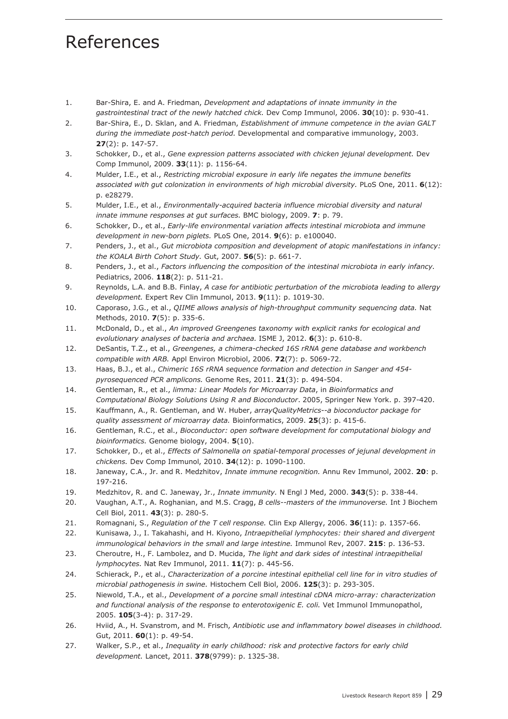## <span id="page-28-0"></span>References

- 1. Bar-Shira, E. and A. Friedman, *Development and adaptations of innate immunity in the gastrointestinal tract of the newly hatched chick.* Dev Comp Immunol, 2006. **30**(10): p. 930-41.
- 2. Bar-Shira, E., D. Sklan, and A. Friedman, *Establishment of immune competence in the avian GALT during the immediate post-hatch period.* Developmental and comparative immunology, 2003. **27**(2): p. 147-57.
- 3. Schokker, D., et al., *Gene expression patterns associated with chicken jejunal development.* Dev Comp Immunol, 2009. **33**(11): p. 1156-64.
- 4. Mulder, I.E., et al., *Restricting microbial exposure in early life negates the immune benefits associated with gut colonization in environments of high microbial diversity.* PLoS One, 2011. **6**(12): p. e28279.
- 5. Mulder, I.E., et al., *Environmentally-acquired bacteria influence microbial diversity and natural innate immune responses at gut surfaces.* BMC biology, 2009. **7**: p. 79.
- 6. Schokker, D., et al., *Early-life environmental variation affects intestinal microbiota and immune development in new-born piglets.* PLoS One, 2014. **9**(6): p. e100040.
- 7. Penders, J., et al., *Gut microbiota composition and development of atopic manifestations in infancy: the KOALA Birth Cohort Study.* Gut, 2007. **56**(5): p. 661-7.
- 8. Penders, J., et al., *Factors influencing the composition of the intestinal microbiota in early infancy.* Pediatrics, 2006. **118**(2): p. 511-21.
- 9. Reynolds, L.A. and B.B. Finlay, *A case for antibiotic perturbation of the microbiota leading to allergy development.* Expert Rev Clin Immunol, 2013. **9**(11): p. 1019-30.
- 10. Caporaso, J.G., et al., *QIIME allows analysis of high-throughput community sequencing data.* Nat Methods, 2010. **7**(5): p. 335-6.
- 11. McDonald, D., et al., *An improved Greengenes taxonomy with explicit ranks for ecological and evolutionary analyses of bacteria and archaea.* ISME J, 2012. **6**(3): p. 610-8.
- 12. DeSantis, T.Z., et al., *Greengenes, a chimera-checked 16S rRNA gene database and workbench compatible with ARB.* Appl Environ Microbiol, 2006. **72**(7): p. 5069-72.
- 13. Haas, B.J., et al., *Chimeric 16S rRNA sequence formation and detection in Sanger and 454 pyrosequenced PCR amplicons.* Genome Res, 2011. **21**(3): p. 494-504.
- 14. Gentleman, R., et al., *limma: Linear Models for Microarray Data*, in *Bioinformatics and Computational Biology Solutions Using R and Bioconductor*. 2005, Springer New York. p. 397-420.
- 15. Kauffmann, A., R. Gentleman, and W. Huber, *arrayQualityMetrics--a bioconductor package for quality assessment of microarray data.* Bioinformatics, 2009. **25**(3): p. 415-6.
- 16. Gentleman, R.C., et al., *Bioconductor: open software development for computational biology and bioinformatics.* Genome biology, 2004. **5**(10).
- 17. Schokker, D., et al., *Effects of Salmonella on spatial-temporal processes of jejunal development in chickens.* Dev Comp Immunol, 2010. **34**(12): p. 1090-1100.
- 18. Janeway, C.A., Jr. and R. Medzhitov, *Innate immune recognition.* Annu Rev Immunol, 2002. **20**: p. 197-216.
- 19. Medzhitov, R. and C. Janeway, Jr., *Innate immunity.* N Engl J Med, 2000. **343**(5): p. 338-44.
- 20. Vaughan, A.T., A. Roghanian, and M.S. Cragg, *B cells--masters of the immunoverse.* Int J Biochem Cell Biol, 2011. **43**(3): p. 280-5.
- 21. Romagnani, S., *Regulation of the T cell response.* Clin Exp Allergy, 2006. **36**(11): p. 1357-66.
- 22. Kunisawa, J., I. Takahashi, and H. Kiyono, *Intraepithelial lymphocytes: their shared and divergent immunological behaviors in the small and large intestine.* Immunol Rev, 2007. **215**: p. 136-53.
- 23. Cheroutre, H., F. Lambolez, and D. Mucida, *The light and dark sides of intestinal intraepithelial lymphocytes.* Nat Rev Immunol, 2011. **11**(7): p. 445-56.
- 24. Schierack, P., et al., *Characterization of a porcine intestinal epithelial cell line for in vitro studies of microbial pathogenesis in swine.* Histochem Cell Biol, 2006. **125**(3): p. 293-305.
- 25. Niewold, T.A., et al., *Development of a porcine small intestinal cDNA micro-array: characterization and functional analysis of the response to enterotoxigenic E. coli.* Vet Immunol Immunopathol, 2005. **105**(3-4): p. 317-29.
- 26. Hviid, A., H. Svanstrom, and M. Frisch, *Antibiotic use and inflammatory bowel diseases in childhood.* Gut, 2011. **60**(1): p. 49-54.
- 27. Walker, S.P., et al., *Inequality in early childhood: risk and protective factors for early child development.* Lancet, 2011. **378**(9799): p. 1325-38.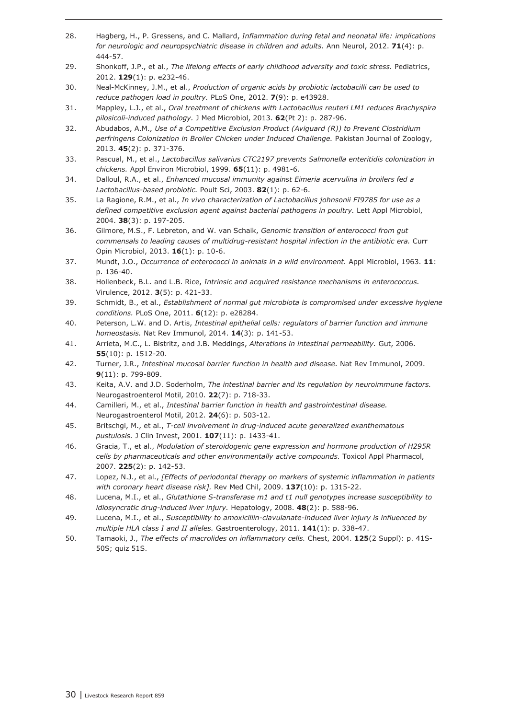- 28. Hagberg, H., P. Gressens, and C. Mallard, *Inflammation during fetal and neonatal life: implications for neurologic and neuropsychiatric disease in children and adults.* Ann Neurol, 2012. **71**(4): p. 444-57.
- 29. Shonkoff, J.P., et al., *The lifelong effects of early childhood adversity and toxic stress.* Pediatrics, 2012. **129**(1): p. e232-46.
- 30. Neal-McKinney, J.M., et al., *Production of organic acids by probiotic lactobacilli can be used to reduce pathogen load in poultry.* PLoS One, 2012. **7**(9): p. e43928.
- 31. Mappley, L.J., et al., *Oral treatment of chickens with Lactobacillus reuteri LM1 reduces Brachyspira pilosicoli-induced pathology.* J Med Microbiol, 2013. **62**(Pt 2): p. 287-96.
- 32. Abudabos, A.M., *Use of a Competitive Exclusion Product (Aviguard (R)) to Prevent Clostridium perfringens Colonization in Broiler Chicken under Induced Challenge.* Pakistan Journal of Zoology, 2013. **45**(2): p. 371-376.
- 33. Pascual, M., et al., *Lactobacillus salivarius CTC2197 prevents Salmonella enteritidis colonization in chickens.* Appl Environ Microbiol, 1999. **65**(11): p. 4981-6.
- 34. Dalloul, R.A., et al., *Enhanced mucosal immunity against Eimeria acervulina in broilers fed a Lactobacillus-based probiotic.* Poult Sci, 2003. **82**(1): p. 62-6.
- 35. La Ragione, R.M., et al., *In vivo characterization of Lactobacillus johnsonii FI9785 for use as a defined competitive exclusion agent against bacterial pathogens in poultry.* Lett Appl Microbiol, 2004. **38**(3): p. 197-205.
- 36. Gilmore, M.S., F. Lebreton, and W. van Schaik, *Genomic transition of enterococci from gut commensals to leading causes of multidrug-resistant hospital infection in the antibiotic era.* Curr Opin Microbiol, 2013. **16**(1): p. 10-6.
- 37. Mundt, J.O., *Occurrence of enterococci in animals in a wild environment.* Appl Microbiol, 1963. **11**: p. 136-40.
- 38. Hollenbeck, B.L. and L.B. Rice, *Intrinsic and acquired resistance mechanisms in enterococcus.* Virulence, 2012. **3**(5): p. 421-33.
- 39. Schmidt, B., et al., *Establishment of normal gut microbiota is compromised under excessive hygiene conditions.* PLoS One, 2011. **6**(12): p. e28284.
- 40. Peterson, L.W. and D. Artis, *Intestinal epithelial cells: regulators of barrier function and immune homeostasis.* Nat Rev Immunol, 2014. **14**(3): p. 141-53.
- 41. Arrieta, M.C., L. Bistritz, and J.B. Meddings, *Alterations in intestinal permeability.* Gut, 2006. **55**(10): p. 1512-20.
- 42. Turner, J.R., *Intestinal mucosal barrier function in health and disease.* Nat Rev Immunol, 2009. **9**(11): p. 799-809.
- 43. Keita, A.V. and J.D. Soderholm, *The intestinal barrier and its regulation by neuroimmune factors.* Neurogastroenterol Motil, 2010. **22**(7): p. 718-33.
- 44. Camilleri, M., et al., *Intestinal barrier function in health and gastrointestinal disease.* Neurogastroenterol Motil, 2012. **24**(6): p. 503-12.
- 45. Britschgi, M., et al., *T-cell involvement in drug-induced acute generalized exanthematous pustulosis.* J Clin Invest, 2001. **107**(11): p. 1433-41.
- 46. Gracia, T., et al., *Modulation of steroidogenic gene expression and hormone production of H295R cells by pharmaceuticals and other environmentally active compounds.* Toxicol Appl Pharmacol, 2007. **225**(2): p. 142-53.
- 47. Lopez, N.J., et al., *[Effects of periodontal therapy on markers of systemic inflammation in patients with coronary heart disease risk].* Rev Med Chil, 2009. **137**(10): p. 1315-22.
- 48. Lucena, M.I., et al., *Glutathione S-transferase m1 and t1 null genotypes increase susceptibility to idiosyncratic drug-induced liver injury.* Hepatology, 2008. **48**(2): p. 588-96.
- 49. Lucena, M.I., et al., *Susceptibility to amoxicillin-clavulanate-induced liver injury is influenced by multiple HLA class I and II alleles.* Gastroenterology, 2011. **141**(1): p. 338-47.
- 50. Tamaoki, J., *The effects of macrolides on inflammatory cells.* Chest, 2004. **125**(2 Suppl): p. 41S-50S; quiz 51S.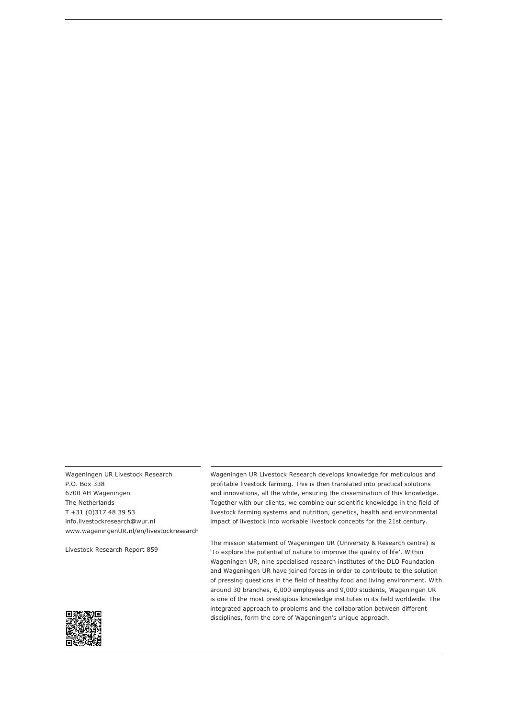Wageningen UR Livestock Research P.O. Box 338 6700 AH Wageningen The Netherlands T +31 (0)317 48 39 53 info.livestockresearch@wur.nl www.wageningenUR.nl/en/livestockresearch

Livestock Research Report 859

Wageningen UR Livestock Research develops knowledge for meticulous and profitable livestock farming. This is then translated into practical solutions and innovations, all the while, ensuring the dissemination of this knowledge. Together with our clients, we combine our scientific knowledge in the field of livestock farming systems and nutrition, genetics, health and environmental impact of livestock into workable livestock concepts for the 21st century.

The mission statement of Wageningen UR (University & Research centre) is 'To explore the potential of nature to improve the quality of life'. Within Wageningen UR, nine specialised research institutes of the DLO Foundation and Wageningen UR have joined forces in order to contribute to the solution of pressing questions in the field of healthy food and living environment. With around 30 branches, 6,000 employees and 9,000 students, Wageningen UR is one of the most prestigious knowledge institutes in its field worldwide. The integrated approach to problems and the collaboration between different disciplines, form the core of Wageningen's unique approach.